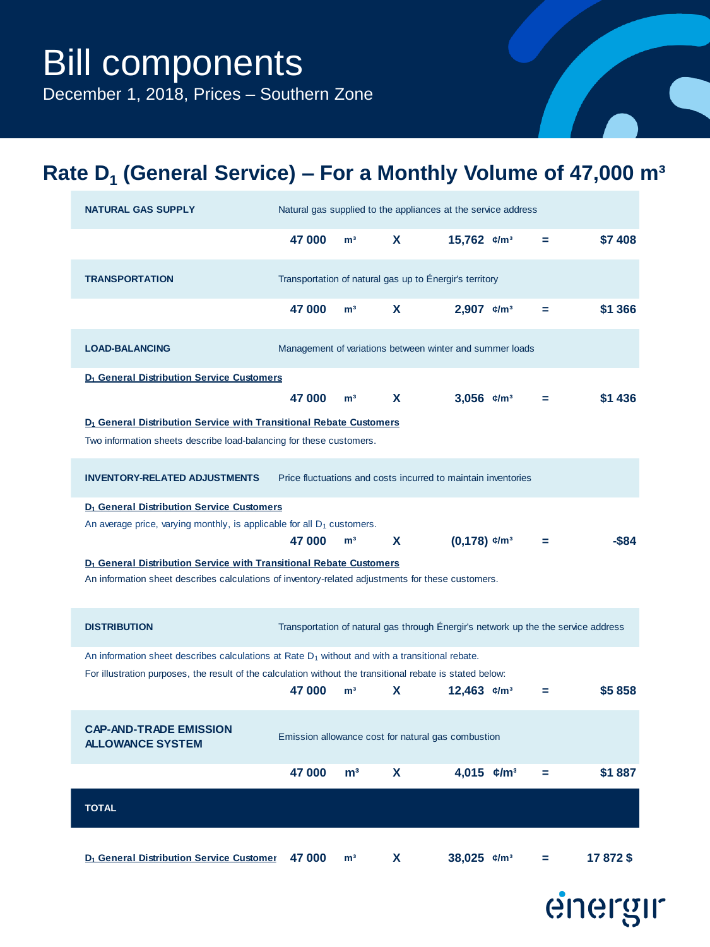December 1, 2018, Prices – Southern Zone

## **Rate D<sup>1</sup> (General Service) – For a Monthly Volume of 47,000 m³**

| <b>NATURAL GAS SUPPLY</b>                                                                                                                                                           |        |                |    | Natural gas supplied to the appliances at the service address                      |   |         |
|-------------------------------------------------------------------------------------------------------------------------------------------------------------------------------------|--------|----------------|----|------------------------------------------------------------------------------------|---|---------|
|                                                                                                                                                                                     | 47 000 | m <sup>3</sup> | X  | 15,762 $\varepsilon/m^3$                                                           | = | \$7 408 |
| <b>TRANSPORTATION</b>                                                                                                                                                               |        |                |    | Transportation of natural gas up to Énergir's territory                            |   |         |
|                                                                                                                                                                                     | 47 000 | m <sup>3</sup> | X  | 2,907 $\varepsilon/m^3$                                                            | = | \$1 366 |
| <b>LOAD-BALANCING</b>                                                                                                                                                               |        |                |    | Management of variations between winter and summer loads                           |   |         |
| D <sub>1</sub> General Distribution Service Customers                                                                                                                               |        |                |    |                                                                                    |   |         |
|                                                                                                                                                                                     | 47 000 | m <sup>3</sup> | X  | 3,056 $\varepsilon/m^3$                                                            | = | \$1 436 |
| D <sub>1</sub> General Distribution Service with Transitional Rebate Customers                                                                                                      |        |                |    |                                                                                    |   |         |
| Two information sheets describe load-balancing for these customers.                                                                                                                 |        |                |    |                                                                                    |   |         |
| <b>INVENTORY-RELATED ADJUSTMENTS</b>                                                                                                                                                |        |                |    | Price fluctuations and costs incurred to maintain inventories                      |   |         |
| D <sub>1</sub> General Distribution Service Customers                                                                                                                               |        |                |    |                                                                                    |   |         |
| An average price, varying monthly, is applicable for all $D_1$ customers.                                                                                                           |        |                |    |                                                                                    |   |         |
|                                                                                                                                                                                     | 47 000 | m <sup>3</sup> | X. | $(0,178)$ $\varepsilon/m^3$                                                        |   | -\$84   |
|                                                                                                                                                                                     |        |                |    |                                                                                    |   |         |
| D <sub>1</sub> General Distribution Service with Transitional Rebate Customers<br>An information sheet describes calculations of inventory-related adjustments for these customers. |        |                |    |                                                                                    |   |         |
|                                                                                                                                                                                     |        |                |    |                                                                                    |   |         |
| <b>DISTRIBUTION</b>                                                                                                                                                                 |        |                |    | Transportation of natural gas through Energir's network up the the service address |   |         |
| An information sheet describes calculations at Rate $D_1$ without and with a transitional rebate.                                                                                   |        |                |    |                                                                                    |   |         |
| For illustration purposes, the result of the calculation without the transitional rebate is stated below:                                                                           |        |                |    |                                                                                    |   |         |
|                                                                                                                                                                                     | 47 000 | m <sup>3</sup> | X  | 12,463 $\varepsilon/m^3$                                                           | = | \$5858  |
| <b>CAP-AND-TRADE EMISSION</b>                                                                                                                                                       |        |                |    |                                                                                    |   |         |
| <b>ALLOWANCE SYSTEM</b>                                                                                                                                                             |        |                |    | Emission allowance cost for natural gas combustion                                 |   |         |
|                                                                                                                                                                                     |        |                |    |                                                                                    |   |         |
|                                                                                                                                                                                     | 47000  | m <sup>3</sup> |    | 4,015 $\epsilon/m^3$                                                               |   | \$1887  |
| <b>TOTAL</b>                                                                                                                                                                        |        |                |    |                                                                                    |   |         |
|                                                                                                                                                                                     |        |                |    |                                                                                    |   |         |

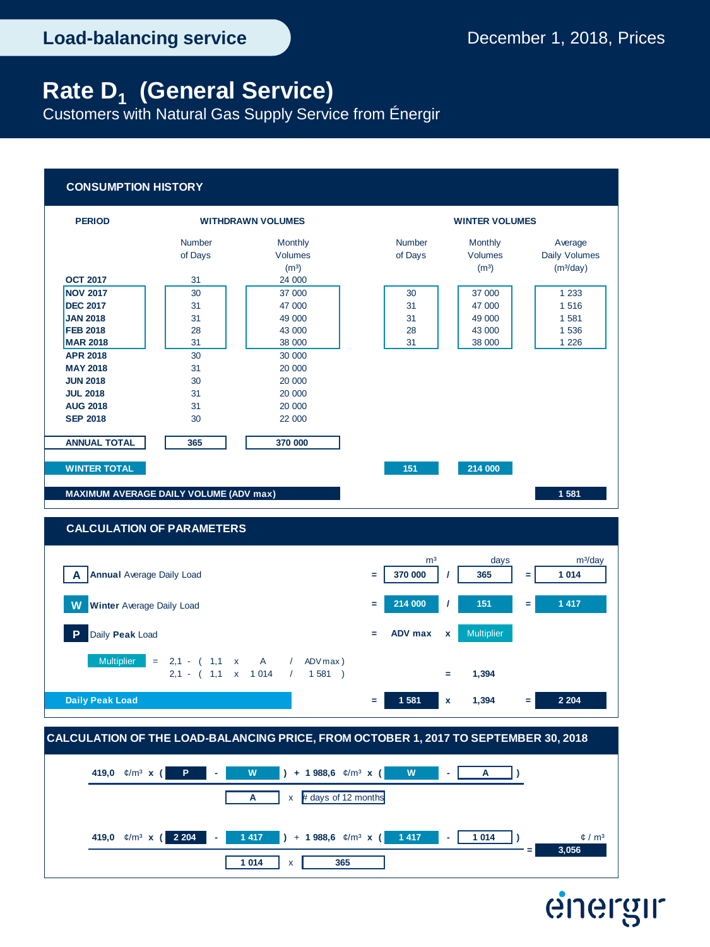Customers with Natural Gas Supply Service from Énergir

## **CONSUMPTION HISTORY**



**1 014** x **365**

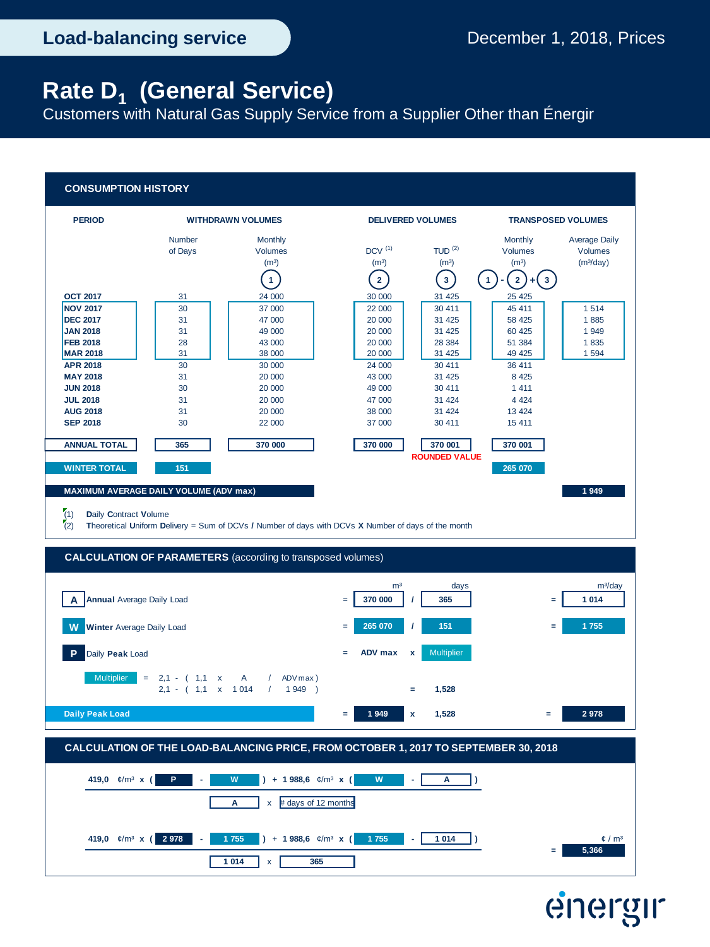Customers with Natural Gas Supply Service from a Supplier Other than Énergir

## **CONSUMPTION HISTORY**



# energir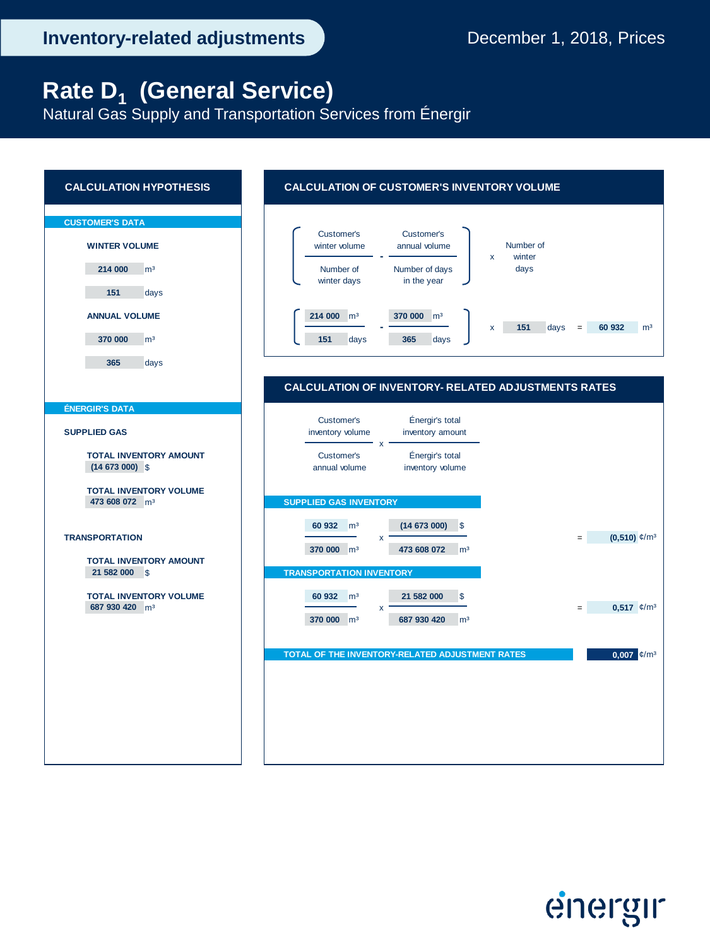Natural Gas Supply and Transportation Services from Énergir



energir